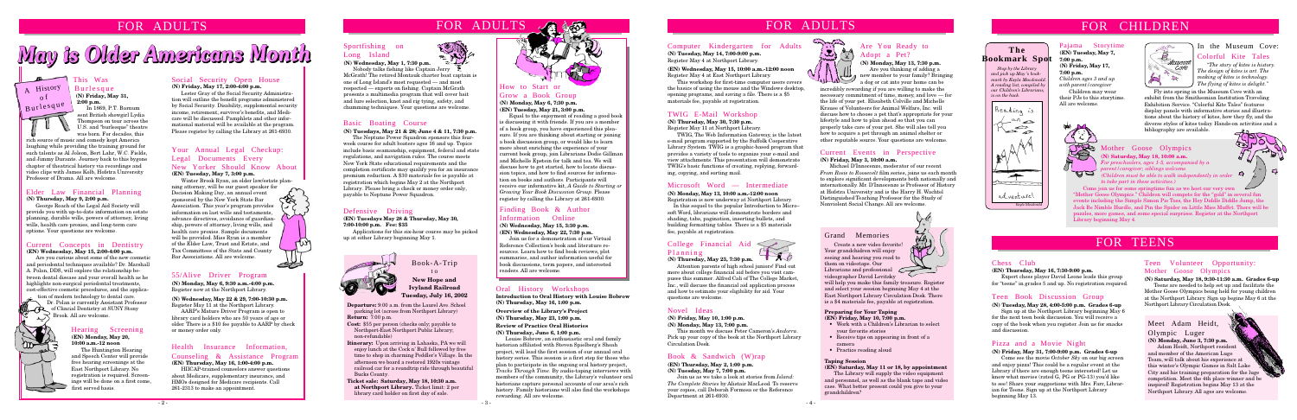# May is Older Americans Month

**Departure:** 9:00 a.m. from the Laurel Ave. School parking lot (across from Northport Library) **Return:** 7:00 p.m.

**Cost:** \$55 per person (checks only; payable to Northport-East Northport Public Library; non-refundable)

- **Itinerary:** Upon arriving in Lahaska, PA we will enjoy lunch at the Cock n' Bull followed by free time to shop in charming Peddler's Village. In the afternoon we board a restored 1920s vintage railroad car for a roundtrip ride through beautiful Bucks County.
- **Ticket sale: Saturday, May 18, 10:30 a.m. at Northport Library.** Ticket limit: 2 per library card holder on first day of sale.



Book-A-Trip t o **New Hope and Ivyland Railroad Tuesday, July 16, 2002**

 *Stop by the Library and pick up May 's bookmark by Kayla Macdonal A reading list, compiled by our Children's Librarians, is on the back.*



### **The Bookmark Spot**

### Meet Adam Heidt, Olympic Luger

#### In the Museum Cove: Colorful Kite Tales

**(N) Monday, June 3, 7:30 p.m.** Adam Heidt, Northport resident and member of the American Luge Team, will talk about his experience at this winter's Olympic Games in Salt Lake City and his training preparation for the luge competition. Meet the 4th place winner and be inspired! Registration begins May 13 at the Northport Library. All ages are welcome.

*"The story of kites is history. The design of kites is art. The making of kites is technology. The flying of kites is delight."*

Mother Goose Olympics

#### **(N) Saturday, May 18, 10:00 a.m.**

*For preschoolers, ages 1-5, accompanied by a parent/caregiver; siblings welcome. (Children must be able to walk independently in order to take part in these activities.)*



Come join us for some springtime fun as we host our very own "Mother Goose Olympics." Children will compete for the "gold" in several fun events including the Simple Simon Pie Toss, the Hey Diddle Diddle Jump, the Jack Be Nimble Hurdle, and Pin the Spider on Little Miss Muffet. There will be puzzles, more games, and some special surprises. Register at the Northport Library beginning May 4.

#### Chess Club

#### **(EN) Thursday, May 16, 7:30-9:00 p.m.**

Expert chess player David Leone leads this group for "teens" in grades 5 and up. No registration required.

#### Current Events in Perspective **(N) Friday, May 3, 10:00 a.m.**

Michael D'Innocenzo, moderator of our recent *From Rosie to Roosevelt* film series, joins us each month to explore significant developments both nationally and internationally. Mr. D'Innocenzo is Professor of History at Hofstra University and is the Harry H. Wachtel Distinguished Teaching Professor for the Study of Nonviolent Social Change. All are welcome.



#### 55/Alive Driver Program

**(N) Monday, May 6, 9:30 a.m.-4:00 p.m.** Register now at the Northport Library.

#### Sportfishing on Long Island



**(N) Wednesday, May 22 & 29, 7:00-10:30 p.m.** Register May 11 at the Northport Library.

AARP's Mature Driver Program is open to library card holders who are 50 years of age or older. There is a \$10 fee payable to AARP by check or money order only.

Nobody talks fishing like Captain Jerry McGrath! The retired Montauk charter boat captain is one of Long Island's most requested — and most respected — experts on fishing. Captain McGrath presents a multimedia program that will cover bait and lure selection, knot and rig tying, safety, and chumming techniques. Your questions are welcome.

#### Defensive Driving

**(EN) Tuesdays May 28 & Thursday, May 30, 7:00-10:00 p.m. Fee: \$35**

Applications for this six-hour course may be picked up at either Library beginning May 1.



### FOR ADULTS



#### Novel Ideas

**(N) Friday, May 10, 1:00 p.m.**

**(N) Monday, May 13, 7:00 p.m.**

This month we discuss Peter Cameron's *Andorra*. Pick up your copy of the book at the Northport Library Circulation Desk.

#### Book & Sandwich (W)rap

#### **(EN) Thursday, May 2, 1:00 p.m.**

#### **(N) Tuesday, May 7, 7:00 p.m.**

Join us as we take a look at stories from *Island: The Complete Stories* by Alistair MacLeod*.* To reserve your copies, call Deborah Formosa or the Reference Department at 261-6930.



#### Teen Book Discussion Group

#### **(N) Tuesday, May 28, 4:00-5:00 p.m. Grades 6-up**

Sign up at the Northport Library beginning May 6 for the next teen book discussion. You will receive a copy of the book when you register. Join us for snacks and discussion.

#### Elder Law Financial Planning **(N) Thursday, May 9, 2:00 p.m.**

- Work with a Children's Librarian to select your favorite stories
- Receive tips on appearing in front of a camera
- Practice reading aloud

George Roach of the Legal Aid Society will provide you with up-to-date information on estate planning, durable wills, powers of attorney, living wills, health care proxies, and long-term care options. Your questions are welcome.

#### Social Security Open House **(N) Friday, May 17, 2:00-4:00 p.m.**

Lester Gray of the Social Security Administration will outline the benefit programs administered by Social Security. Disability, supplemental security income, retirement, survivor's benefits, and Medicare will be discussed. Pamphlets and other informational material will be available at the program. Please register by calling the Library at 261-6930.

#### Basic Boating Course

#### **(N) Tuesdays, May 21 & 28; June 4 & 11, 7:30 p.m.**

The Neptune Power Squadron sponsors this fourweek course for adult boaters ages 16 and up. Topics include basic seamanship, equipment, federal and state regulations, and navigation rules. The course meets New York State educational requirements and the completion certificate may qualify you for an insurance premium reduction. A \$30 materials fee is payable at registration which begins May 2 at the Northport Library. Please bring a check or money order only, payable to Neptune Power Squadron.

tion of modern technology to dental care. Dr. Polan is currently Assistant Professor of Clincial Dentistry at SUNY Stony Brook. All are welcome.

#### College Financial Aid Planning

#### **(N) Thursday, May 23, 7:30 p.m.**

Attention parents of high school juniors! Find out more about college financial aid before you visit campuses this summer. Alfred Cali of The College Market, Inc., will discuss the financial aid application process and how to estimate your eligibility for aid. Your questions are welcome.

**(N) Wednesday, May 1, 7:30 p.m.**

#### Oral History Workshops

**Introduction to Oral History with Louise Bobrow (N) Thursday, May 16, 1:00 p.m.**

**Overview of the Library's Project (N) Thursday, May 23, 1:00 p.m.**

#### **Review of Practice Oral Histories (N) Thursday, June 6, 1:00 p.m.**

Louise Bobrow, an enthusiastic oral and family historian affiliated with Steven Spielberg's Shoah project, will lead the first session of our annual oral history series. This session is a first step for those who plan to participate in the ongoing oral history project, *Tracks Through Time*. By audio-taping interviews with members of the community, the Library's volunteer oral historians capture personal accounts of our area's rich history. Family historians will also find the workshops rewarding. All are welcome.

#### Computer Kindergarten for Adults

**(N) Tuesday, May 14, 7:00-9:00 p.m.** Register May 4 at Northport Library.

#### **(EN) Wednesday, May 15, 10:00 a.m.-12:00 noon** Register May 4 at East Northport Library.

This workshop for first-time computer users covers This workshop for first-time computer users covers a dog or cat into your home can be a dog or cat into your home can be the basics of using the mouse and the Windows desktop, incredibly rewarding if you are willing to mak opening programs, and saving a file. There is a \$5 materials fee, payable at registration.

Fly into spring in the Museum Cove with an exhibit from the Smithsonian Institution Traveling Exhibition Service. "Colorful Kite Tales" features display panels with informative stories and illustrations about the history of kites, how they fly, and the diverse styles of kites today. Hands-on activities and a bibliography are available.

#### Grand Memories

Create a new video favorite! Your grandchidren will enjoy seeing and hearing you read to them on videotape. Our Librarians and professional  $\sim$ videographer David Levitsky

will help you make this family treasure. Register and select your session beginning May 4 at the East Northport Library Circulation Desk. There is a \$4 materials fee, payable at registration.

#### **Preparing for Your Taping**

**(EN) Friday, May 10, 7:00 p.m.**

#### **Taping Session**

#### **(EN) Saturday, May 11 or 18, by appointment** The Library will supply the video equipment

and personnel, as well as the blank tape and video case. What better present could you give to your grandchildren?

### FOR ADULTS FOR ADULTS TOR ADULTS TO RESERVE THE RESERVE TO RESERVE THE RESERVE TO RESERVE THE RESERVE TO RESERVE THE RESERVE TO RESERVE THE RESERVE TO RESERVE THE RESERVE THAT HERE ARE RESERVED TO RESERVE THE RESERVE THAT

#### Pajama Storytime

**(EN) Tuesday, May 7, 7:00 p.m. (N) Friday, May 17, 7:00 p.m.**

*Children ages 3 and up with parent/caregiver* Children may wear

28

**UB** 

their PJs to this storytime. All are welcome.



#### Pizza and a Movie Night

#### **(N) Friday, May 31, 7:00-9:00 p.m. Grades 6-up**

Come see the movie *October Sky* on our big screen and enjoy pizza! This could be a regular event at the Library if there are enough teens interested! Let us know what movies (rated G, PG or PG-13) you'd like to see! Share your suggestions with Mrs. Farr, Librarian for Teens. Sign up at the Northport Library beginning May 13.

#### Teen Volunteer Opportunity: Mother Goose Olympics

#### **(N) Saturday, May 18, 9:30-11:30 a.m. Grades 6-up**

Teens are needed to help set up and facilitate the Mother Goose Olympics being held for young children at the Northport Library. Sign up begins May 6 at the Northport Library Circulation Desk.

## FOR TEENS

#### Finding Book & Author Information Online **(N) Wednesday, May 15, 3:30 p.m. (EN) Wednesday, May 22, 7:30 p.m.**

Join us for a demonstration of our Virtual Reference Collection's book and literature resources. Learn how to find book reviews, plot summaries, and author information useful for book discussions, term papers, and interested readers. All are welcome.

#### TWIG E-Mail Workshop

#### **(N) Thursday, May 30, 7:30 p.m.**

Register May 11 at Northport Library.

TWIG, The Web Information Gateway, is the latest e-mail program supported by the Suffolk Cooperative Library System. TWIG is a graphic-based program that provides a variety of tools to organize your e-mail and view attachments. This presentation will demonstrate TWIG's basic functions of creating, replying, forwarding, copying, and sorting mail.

### FOR ADULTS

#### Current Concepts in Dentistry **(EN) Wednesday, May 15, 2:00-4:00 p.m.**

Are you curious about some of the new cosmetic and periodontal techniques available? Dr. Marshall A. Polan, DDS, will explore the relationship between dental disease and your overall health as he highlights non-surgical periodontal treatments, cost-effective cosmetic procedures, and the applica-

#### This Was

Burlesque **(N) Friday, May 31, 2:00 p.m.**

In 1869, P.T. Barnum sent British showgirl Lydia Thompson on tour across the U.S. and "burlesque" theatre was born. For decades, this

rich source of music and comedy kept America laughing while providing the training ground for such talents as Al Jolson, Bert Lahr, W.C. Fields, and Jimmy Durante. Journey back to this bygone chapter of theatrical history via recordings and video clips with James Kolb, Hofstra University Professor of Drama. All are welcome.



#### Health Insurance Information, Counseling & Assistance Program **(EN) Thursday, May 16, 1:00-4:00 p.m.**

HIICAP-trained counselors answer questions about Medicare, supplementary insurance, and HMOs designed for Medicare recipients. Call 261-2313 to make an appointment.

#### Your Annual Legal Checkup: Legal Documents Every New Yorker Should Know About **(EN) Tuesday, May 7, 3:00 p.m.**

Winter Brook Ryan, an elder law/estate planning attorney, will be our guest speaker for

Decision Making Day, an annual event sponsored by the New York State Bar Association. This year's program provides information on last wills and testaments, advance directives, avoidance of guardianship, powers of attorney, living wills, and health care proxies. Sample documents will be provided. Miss Ryan is a member of the Elder Law, Trust and Estate, and Tax Committees of the State and County Bar Associations. All are welcome.

#### Hearing Screening

#### **(EN) Monday, May 20, 10:00 a.m.-12 noon**

The Huntington Hearing and Speech Center will provide free hearing screenings at the East Northport Library. No registration is required. Screenings will be done on a first come, first served basis.

#### Are You Ready to Adopt a Pet?

**(N) Monday, May 13, 7:30 p.m.** Are you thinking of adding a new member to your family? Bringing

#### Grow a Book Group **(N) Monday, May 6, 7:30 p.m. (EN) Tuesday, May 21, 3:00 p.m.**

Equal to the enjoyment of reading a good book is discussing it with friends. If you are a member of a book group, you have experienced this pleasure. If you are thinking about starting or joining a book discussion group, or would like to learn more about enriching the experience of your current book group, join Librarians Dodie Gillman and Michelle Epstein for talk and tea. We will discuss how to get started, how to locate discussion topics, and how to find sources for information on books and authors. Participants will receive our informative kit, *A Guide to Starting or Growing Your Book Discussion Group*. Please register by calling the Library at 261-6930.

#### Microsoft Word — Intermediate

#### **(N) Monday, May 13, 10:00 a.m.-12:00 noon**

Registration is now underway at Northport Library. In this sequel to the popular Introduction to Micro– soft Word, librarians will demonstrate borders and shading, tabs, pagination, inserting bullets, and building formatting tables. There is a \$5 materials

fee, payable at registration.



incredibly rewarding if you are willing to make the necessary commitment of time, money, and love — for the life of your pet. Elisabeth Colville and Michelle Krause of Volunteers for Animal Welfare, Inc. will discuss how to choose a pet that's appropriate for your lifestyle and how to plan ahead so that you can properly take care of your pet. She will also tell you how to acquire a pet through an animal shelter or other reputable source. Your questions are welcome.